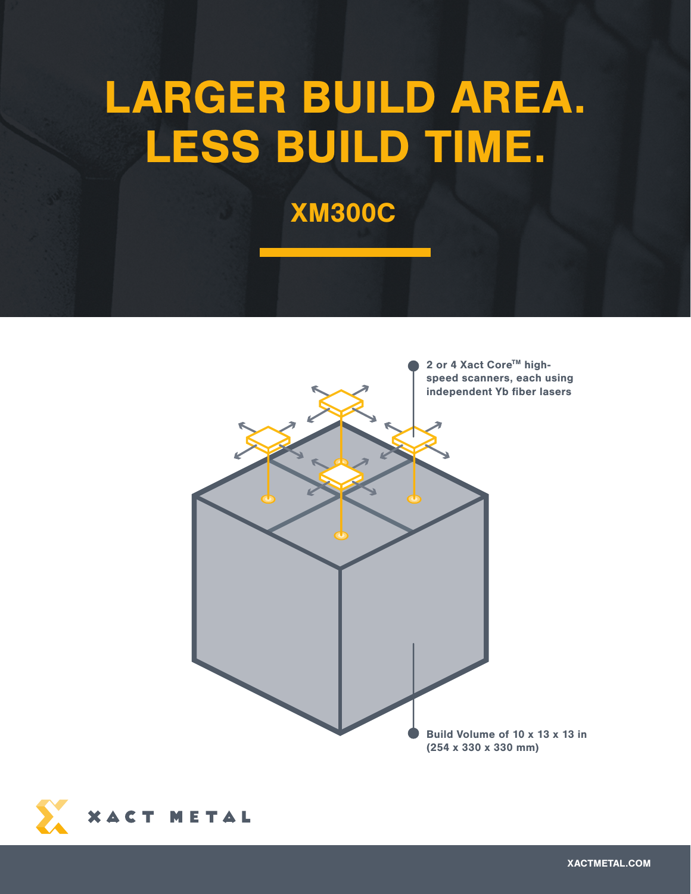# LARGER BUILD AREA. LESS BUILD TIME.

XM300C